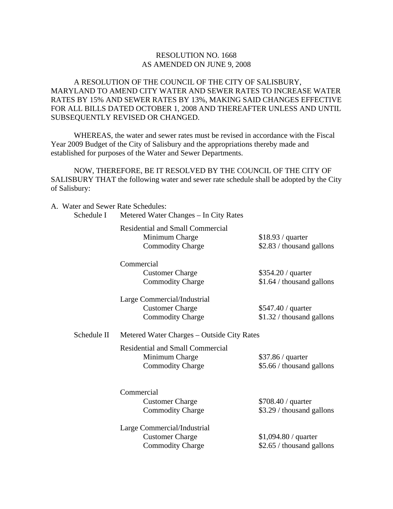## RESOLUTION NO. 1668 AS AMENDED ON JUNE 9, 2008

A RESOLUTION OF THE COUNCIL OF THE CITY OF SALISBURY, MARYLAND TO AMEND CITY WATER AND SEWER RATES TO INCREASE WATER RATES BY 15% AND SEWER RATES BY 13%, MAKING SAID CHANGES EFFECTIVE FOR ALL BILLS DATED OCTOBER 1, 2008 AND THEREAFTER UNLESS AND UNTIL SUBSEQUENTLY REVISED OR CHANGED.

 WHEREAS, the water and sewer rates must be revised in accordance with the Fiscal Year 2009 Budget of the City of Salisbury and the appropriations thereby made and established for purposes of the Water and Sewer Departments.

 NOW, THEREFORE, BE IT RESOLVED BY THE COUNCIL OF THE CITY OF SALISBURY THAT the following water and sewer rate schedule shall be adopted by the City of Salisbury:

| A. Water and Sewer Rate Schedules:<br>Schedule I | Metered Water Changes - In City Rates                                                |                                                    |  |
|--------------------------------------------------|--------------------------------------------------------------------------------------|----------------------------------------------------|--|
|                                                  | <b>Residential and Small Commercial</b><br>Minimum Charge<br><b>Commodity Charge</b> | \$18.93 / quarter<br>\$2.83 / thousand gallons     |  |
|                                                  | Commercial<br><b>Customer Charge</b><br><b>Commodity Charge</b>                      | \$354.20 / quarter<br>\$1.64 / thousand gallons    |  |
|                                                  | Large Commercial/Industrial<br><b>Customer Charge</b><br><b>Commodity Charge</b>     | \$547.40 / quarter<br>\$1.32 / thousand gallons    |  |
| Schedule II                                      | Metered Water Charges – Outside City Rates                                           |                                                    |  |
|                                                  | <b>Residential and Small Commercial</b><br>Minimum Charge<br><b>Commodity Charge</b> | \$37.86 / quarter<br>\$5.66 / thousand gallons     |  |
|                                                  | Commercial<br><b>Customer Charge</b><br><b>Commodity Charge</b>                      | \$708.40 / quarter<br>\$3.29 / thousand gallons    |  |
|                                                  | Large Commercial/Industrial<br><b>Customer Charge</b><br><b>Commodity Charge</b>     | $$1,094.80 /$ quarter<br>\$2.65 / thousand gallons |  |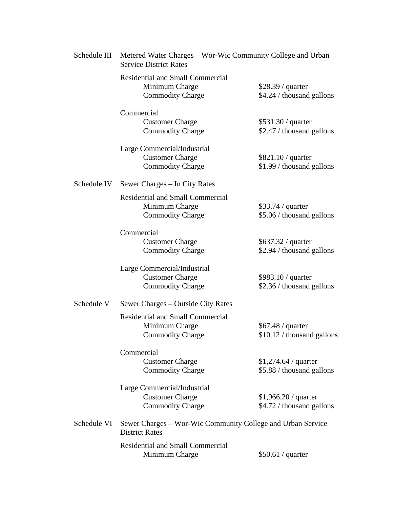|             | Schedule III | Metered Water Charges – Wor-Wic Community College and Urban<br><b>Service District Rates</b> |                                                    |  |
|-------------|--------------|----------------------------------------------------------------------------------------------|----------------------------------------------------|--|
|             |              | <b>Residential and Small Commercial</b><br>Minimum Charge<br><b>Commodity Charge</b>         | \$28.39 / quarter<br>\$4.24 / thousand gallons     |  |
|             |              | Commercial<br><b>Customer Charge</b><br><b>Commodity Charge</b>                              | \$531.30 / quarter<br>\$2.47 / thousand gallons    |  |
|             |              | Large Commercial/Industrial<br><b>Customer Charge</b><br><b>Commodity Charge</b>             | $$821.10 /$ quarter<br>\$1.99 / thousand gallons   |  |
| Schedule IV |              | Sewer Charges – In City Rates                                                                |                                                    |  |
|             |              | <b>Residential and Small Commercial</b><br>Minimum Charge<br><b>Commodity Charge</b>         | \$33.74 / quarter<br>\$5.06 / thousand gallons     |  |
|             |              | Commercial<br><b>Customer Charge</b><br><b>Commodity Charge</b>                              | $$637.32 /$ quarter<br>\$2.94 / thousand gallons   |  |
|             |              | Large Commercial/Industrial<br><b>Customer Charge</b><br><b>Commodity Charge</b>             | \$983.10 / quarter<br>\$2.36 / thousand gallons    |  |
| Schedule V  |              | Sewer Charges – Outside City Rates                                                           |                                                    |  |
|             |              | <b>Residential and Small Commercial</b><br>Minimum Charge<br><b>Commodity Charge</b>         | \$67.48 / quarter<br>\$10.12 / thousand gallons    |  |
|             |              | Commercial<br><b>Customer Charge</b><br><b>Commodity Charge</b>                              | $$1,274.64 /$ quarter<br>\$5.88 / thousand gallons |  |
|             |              | Large Commercial/Industrial<br><b>Customer Charge</b><br><b>Commodity Charge</b>             | $$1,966.20 /$ quarter<br>\$4.72 / thousand gallons |  |
|             | Schedule VI  | Sewer Charges – Wor-Wic Community College and Urban Service<br><b>District Rates</b>         |                                                    |  |
|             |              | <b>Residential and Small Commercial</b><br>Minimum Charge                                    | \$50.61 / quarter                                  |  |
|             |              |                                                                                              |                                                    |  |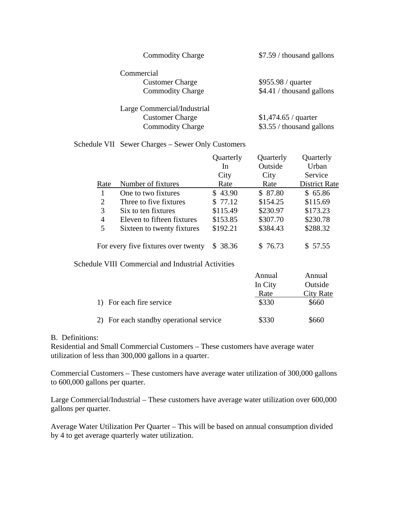| <b>Commodity Charge</b>     | \$7.59 / thousand gallons |
|-----------------------------|---------------------------|
| Commercial                  |                           |
| <b>Customer Charge</b>      | \$955.98 / quarter        |
| <b>Commodity Charge</b>     | \$4.41 / thousand gallons |
| Large Commercial/Industrial |                           |
| <b>Customer Charge</b>      | \$1,474.65 / quarter      |
| <b>Commodity Charge</b>     | \$3.55 / thousand gallons |

## Schedule VII Sewer Charges – Sewer Only Customers

|      |                                     | Quarterly | Quarterly | Quarterly            |
|------|-------------------------------------|-----------|-----------|----------------------|
|      |                                     | In        | Outside   | Urban                |
|      |                                     | City      | City      | Service              |
| Rate | Number of fixtures                  | Rate      | Rate      | <b>District Rate</b> |
|      | One to two fixtures                 | \$43.90   | \$ 87.80  | \$65.86              |
| 2    | Three to five fixtures              | \$77.12   | \$154.25  | \$115.69             |
| 3    | Six to ten fixtures                 | \$115.49  | \$230.97  | \$173.23             |
| 4    | Eleven to fifteen fixtures          | \$153.85  | \$307.70  | \$230.78             |
| 5    | Sixteen to twenty fixtures          | \$192.21  | \$384.43  | \$288.32             |
|      | For every five fixtures over twenty | \$38.36   | \$76.73   | \$57.55              |

Schedule VIII Commercial and Industrial Activities

|                                         | Annual  | Annual    |
|-----------------------------------------|---------|-----------|
|                                         | In City | Outside   |
|                                         | Rate    | City Rate |
| 1) For each fire service                | \$330   | \$660     |
| 2) For each standby operational service | \$330   | \$660     |

## B. Definitions:

Residential and Small Commercial Customers – These customers have average water utilization of less than 300,000 gallons in a quarter.

Commercial Customers – These customers have average water utilization of 300,000 gallons to 600,000 gallons per quarter.

Large Commercial/Industrial – These customers have average water utilization over 600,000 gallons per quarter.

Average Water Utilization Per Quarter – This will be based on annual consumption divided by 4 to get average quarterly water utilization.